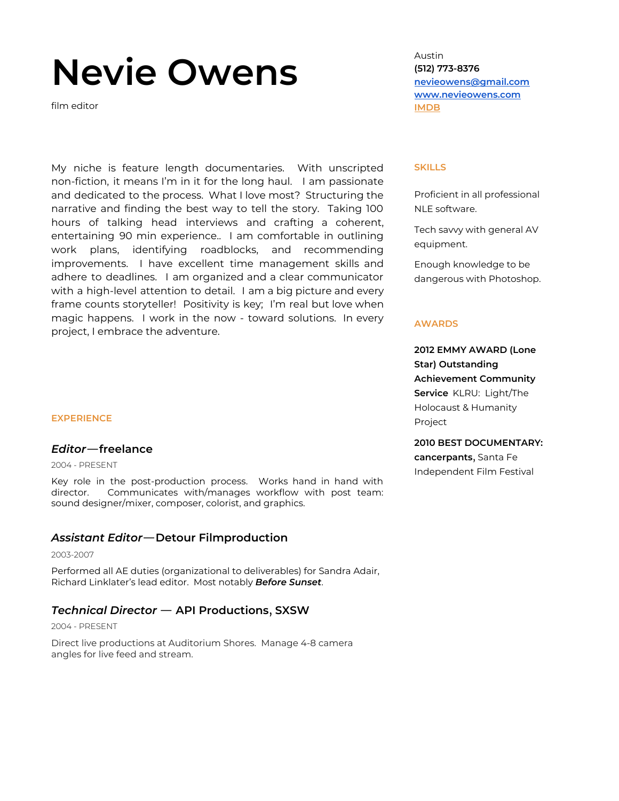# **Nevie Owens**

film editor

My niche is feature length documentaries. With unscripted non-fiction, it means I'm in it for the long haul. I am passionate and dedicated to the process. What I love most? Structuring the narrative and finding the best way to tell the story. Taking 100 hours of talking head interviews and crafting a coherent, entertaining 90 min experience.. I am comfortable in outlining work plans, identifying roadblocks, and recommending improvements. I have excellent time management skills and adhere to deadlines. I am organized and a clear communicator with a high-level attention to detail. I am a big picture and every frame counts storyteller! Positivity is key; I'm real but love when magic happens. I work in the now - toward solutions. In every project, I embrace the adventure.

#### **EXPERIENCE**

#### *Editor*—**freelance**

2004 - PRESENT

Key role in the post-production process. Works hand in hand with director. Communicates with/manages workflow with post team: sound designer/mixer, composer, colorist, and graphics.

## *Assistant Editor*—**Detour Filmproduction**

2003-2007

Performed all AE duties (organizational to deliverables) for Sandra Adair, Richard Linklater's lead editor. Most notably *Before Sunset*.

# *Technical Director* — **API Productions**, **SXSW**

#### 2004 - PRESENT

Direct live productions at Auditorium Shores. Manage 4-8 camera angles for live feed and stream.

Austin **(512) 773-8376 [nevieowens@gmail.com](mailto:nevieowens@gmail.com) [www.nevieowens.com](http://www.nevieowens.com/) [IMDB](https://www.imdb.com/name/nm1106043/)**

#### **SKILLS**

Proficient in all professional NLE software.

Tech savvy with general AV equipment.

Enough knowledge to be dangerous with Photoshop.

#### **AWARDS**

**2012 EMMY AWARD (Lone Star) Outstanding Achievement Community Service** KLRU: Light/The Holocaust & Humanity Project

**2010 BEST DOCUMENTARY: cancerpants**, Santa Fe Independent Film Festival